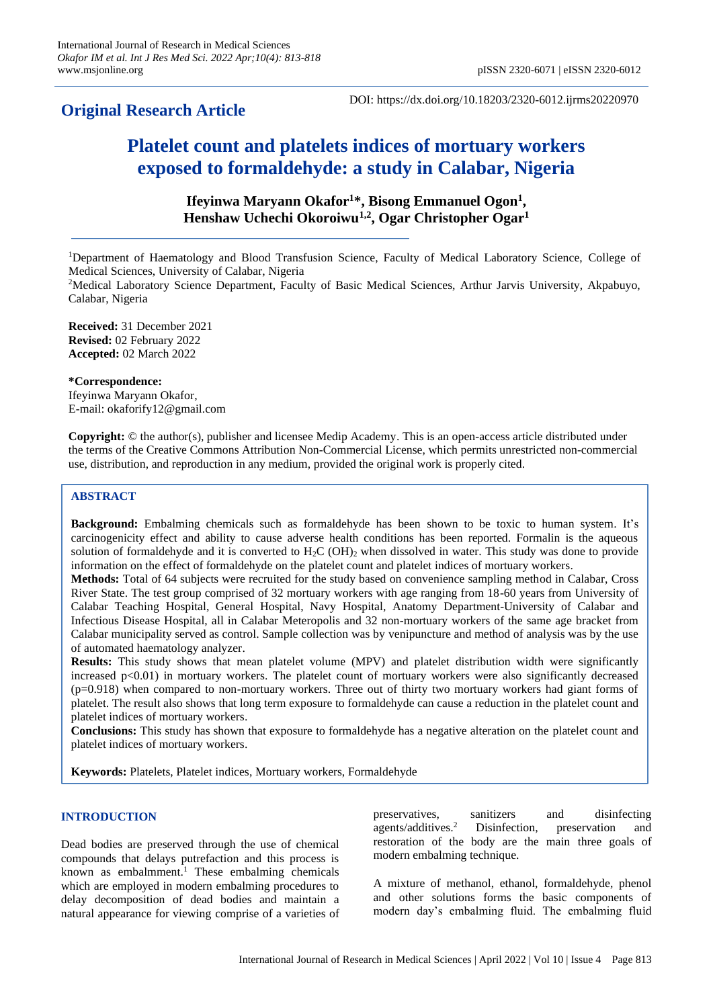# **Original Research Article**

DOI: https://dx.doi.org/10.18203/2320-6012.ijrms20220970

# **Platelet count and platelets indices of mortuary workers exposed to formaldehyde: a study in Calabar, Nigeria**

**Ifeyinwa Maryann Okafor<sup>1</sup>\*, Bisong Emmanuel Ogon<sup>1</sup> , Henshaw Uchechi Okoroiwu1,2 , Ogar Christopher Ogar<sup>1</sup>**

<sup>1</sup>Department of Haematology and Blood Transfusion Science, Faculty of Medical Laboratory Science, College of Medical Sciences, University of Calabar, Nigeria

<sup>2</sup>Medical Laboratory Science Department, Faculty of Basic Medical Sciences, Arthur Jarvis University, Akpabuyo, Calabar, Nigeria

**Received:** 31 December 2021 **Revised:** 02 February 2022 **Accepted:** 02 March 2022

**\*Correspondence:**

Ifeyinwa Maryann Okafor, E-mail: okaforify12@gmail.com

**Copyright:** © the author(s), publisher and licensee Medip Academy. This is an open-access article distributed under the terms of the Creative Commons Attribution Non-Commercial License, which permits unrestricted non-commercial use, distribution, and reproduction in any medium, provided the original work is properly cited.

# **ABSTRACT**

**Background:** Embalming chemicals such as formaldehyde has been shown to be toxic to human system. It's carcinogenicity effect and ability to cause adverse health conditions has been reported. Formalin is the aqueous solution of formaldehyde and it is converted to  $H_2C$  (OH)<sub>2</sub> when dissolved in water. This study was done to provide information on the effect of formaldehyde on the platelet count and platelet indices of mortuary workers.

**Methods:** Total of 64 subjects were recruited for the study based on convenience sampling method in Calabar, Cross River State. The test group comprised of 32 mortuary workers with age ranging from 18-60 years from University of Calabar Teaching Hospital, General Hospital, Navy Hospital, Anatomy Department-University of Calabar and Infectious Disease Hospital, all in Calabar Meteropolis and 32 non-mortuary workers of the same age bracket from Calabar municipality served as control. Sample collection was by venipuncture and method of analysis was by the use of automated haematology analyzer.

**Results:** This study shows that mean platelet volume (MPV) and platelet distribution width were significantly increased  $p<0.01$ ) in mortuary workers. The platelet count of mortuary workers were also significantly decreased (p=0.918) when compared to non-mortuary workers. Three out of thirty two mortuary workers had giant forms of platelet. The result also shows that long term exposure to formaldehyde can cause a reduction in the platelet count and platelet indices of mortuary workers.

**Conclusions:** This study has shown that exposure to formaldehyde has a negative alteration on the platelet count and platelet indices of mortuary workers.

**Keywords:** Platelets, Platelet indices, Mortuary workers, Formaldehyde

# **INTRODUCTION**

Dead bodies are preserved through the use of chemical compounds that delays putrefaction and this process is known as embalmment.<sup>1</sup> These embalming chemicals which are employed in modern embalming procedures to delay decomposition of dead bodies and maintain a natural appearance for viewing comprise of a varieties of preservatives, sanitizers and disinfecting agents/additives.<sup>2</sup> Disinfection, preservation and restoration of the body are the main three goals of modern embalming technique.

A mixture of methanol, ethanol, formaldehyde, phenol and other solutions forms the basic components of modern day's embalming fluid. The embalming fluid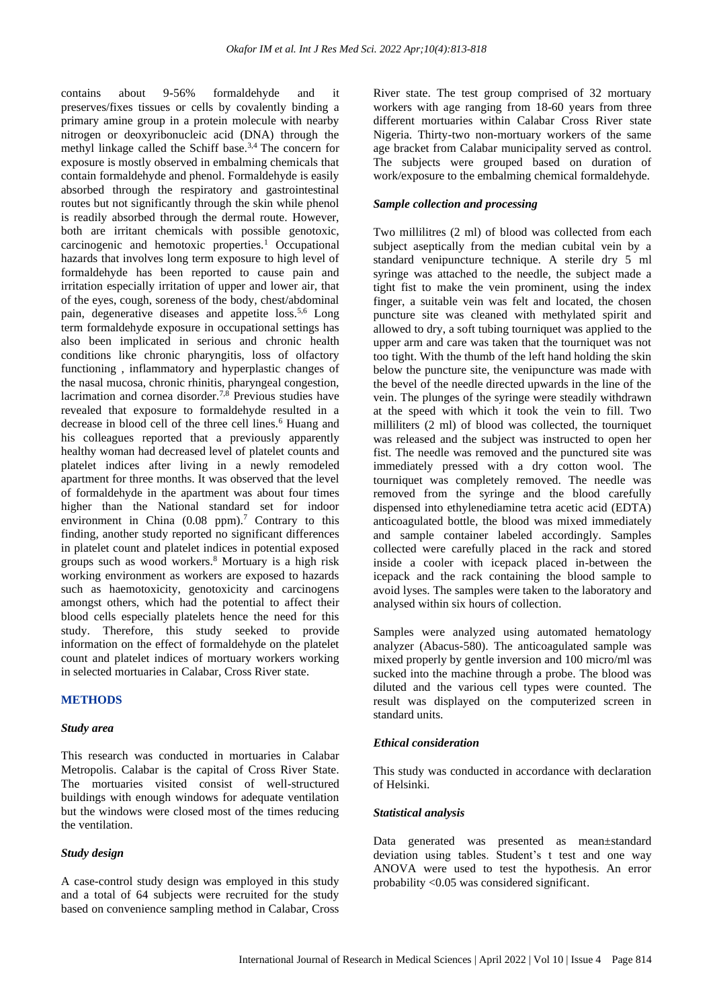contains about 9-56% formaldehyde and it preserves/fixes tissues or cells by covalently binding a primary amine group in a protein molecule with nearby nitrogen or deoxyribonucleic acid (DNA) through the methyl linkage called the Schiff base.<sup>3,4</sup> The concern for exposure is mostly observed in embalming chemicals that contain formaldehyde and phenol. Formaldehyde is easily absorbed through the respiratory and gastrointestinal routes but not significantly through the skin while phenol is readily absorbed through the dermal route. However, both are irritant chemicals with possible genotoxic,  $carcinogenic$  and hemotoxic properties.<sup>1</sup> Occupational hazards that involves long term exposure to high level of formaldehyde has been reported to cause pain and irritation especially irritation of upper and lower air, that of the eyes, cough, soreness of the body, chest/abdominal pain, degenerative diseases and appetite loss.5,6 Long term formaldehyde exposure in occupational settings has also been implicated in serious and chronic health conditions like chronic pharyngitis, loss of olfactory functioning , inflammatory and hyperplastic changes of the nasal mucosa, chronic rhinitis, pharyngeal congestion, lacrimation and cornea disorder.<sup>7,8</sup> Previous studies have revealed that exposure to formaldehyde resulted in a decrease in blood cell of the three cell lines.<sup>6</sup> Huang and his colleagues reported that a previously apparently healthy woman had decreased level of platelet counts and platelet indices after living in a newly remodeled apartment for three months. It was observed that the level of formaldehyde in the apartment was about four times higher than the National standard set for indoor environment in China  $(0.08 \text{ ppm})$ .<sup>7</sup> Contrary to this finding, another study reported no significant differences in platelet count and platelet indices in potential exposed groups such as wood workers.<sup>8</sup> Mortuary is a high risk working environment as workers are exposed to hazards such as haemotoxicity, genotoxicity and carcinogens amongst others, which had the potential to affect their blood cells especially platelets hence the need for this study. Therefore, this study seeked to provide information on the effect of formaldehyde on the platelet count and platelet indices of mortuary workers working in selected mortuaries in Calabar, Cross River state.

# **METHODS**

#### *Study area*

This research was conducted in mortuaries in Calabar Metropolis. Calabar is the capital of Cross River State. The mortuaries visited consist of well-structured buildings with enough windows for adequate ventilation but the windows were closed most of the times reducing the ventilation.

# *Study design*

A case-control study design was employed in this study and a total of 64 subjects were recruited for the study based on convenience sampling method in Calabar, Cross

River state. The test group comprised of 32 mortuary workers with age ranging from 18-60 years from three different mortuaries within Calabar Cross River state Nigeria. Thirty-two non-mortuary workers of the same age bracket from Calabar municipality served as control. The subjects were grouped based on duration of work/exposure to the embalming chemical formaldehyde.

# *Sample collection and processing*

Two millilitres (2 ml) of blood was collected from each subject aseptically from the median cubital vein by a standard venipuncture technique. A sterile dry 5 ml syringe was attached to the needle, the subject made a tight fist to make the vein prominent, using the index finger, a suitable vein was felt and located, the chosen puncture site was cleaned with methylated spirit and allowed to dry, a soft tubing tourniquet was applied to the upper arm and care was taken that the tourniquet was not too tight. With the thumb of the left hand holding the skin below the puncture site, the venipuncture was made with the bevel of the needle directed upwards in the line of the vein. The plunges of the syringe were steadily withdrawn at the speed with which it took the vein to fill. Two milliliters (2 ml) of blood was collected, the tourniquet was released and the subject was instructed to open her fist. The needle was removed and the punctured site was immediately pressed with a dry cotton wool. The tourniquet was completely removed. The needle was removed from the syringe and the blood carefully dispensed into ethylenediamine tetra acetic acid (EDTA) anticoagulated bottle, the blood was mixed immediately and sample container labeled accordingly. Samples collected were carefully placed in the rack and stored inside a cooler with icepack placed in-between the icepack and the rack containing the blood sample to avoid lyses. The samples were taken to the laboratory and analysed within six hours of collection.

Samples were analyzed using automated hematology analyzer (Abacus-580). The anticoagulated sample was mixed properly by gentle inversion and 100 micro/ml was sucked into the machine through a probe. The blood was diluted and the various cell types were counted. The result was displayed on the computerized screen in standard units.

# *Ethical consideration*

This study was conducted in accordance with declaration of Helsinki.

## *Statistical analysis*

Data generated was presented as mean±standard deviation using tables. Student's t test and one way ANOVA were used to test the hypothesis. An error probability <0.05 was considered significant.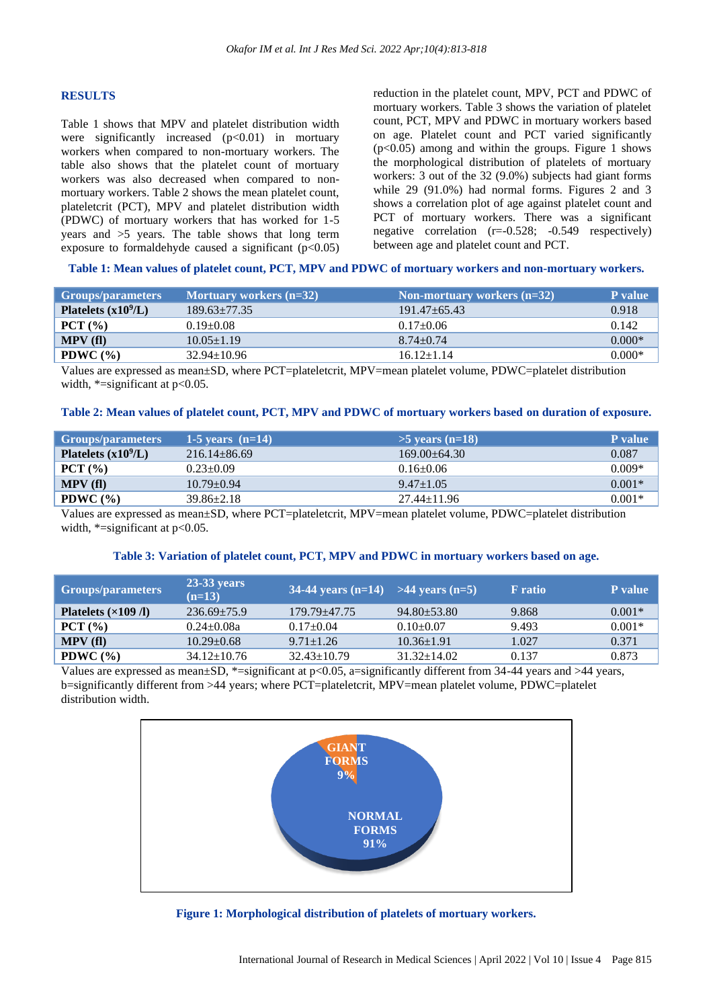# **RESULTS**

Table 1 shows that MPV and platelet distribution width were significantly increased  $(p<0.01)$  in mortuary workers when compared to non-mortuary workers. The table also shows that the platelet count of mortuary workers was also decreased when compared to nonmortuary workers. Table 2 shows the mean platelet count, plateletcrit (PCT), MPV and platelet distribution width (PDWC) of mortuary workers that has worked for 1-5 years and >5 years. The table shows that long term exposure to formaldehyde caused a significant  $(p<0.05)$  reduction in the platelet count, MPV, PCT and PDWC of mortuary workers. Table 3 shows the variation of platelet count, PCT, MPV and PDWC in mortuary workers based on age. Platelet count and PCT varied significantly  $(p<0.05)$  among and within the groups. Figure 1 shows the morphological distribution of platelets of mortuary workers: 3 out of the 32 (9.0%) subjects had giant forms while 29 (91.0%) had normal forms. Figures 2 and 3 shows a correlation plot of age against platelet count and PCT of mortuary workers. There was a significant negative correlation (r=-0.528; -0.549 respectively) between age and platelet count and PCT.

# **Table 1: Mean values of platelet count, PCT, MPV and PDWC of mortuary workers and non-mortuary workers.**

| <b>Groups/parameters</b> | Mortuary workers (n=32) | Non-mortuary workers $(n=32)$ | <b>P</b> value |
|--------------------------|-------------------------|-------------------------------|----------------|
| Platelets $(x10^9/L)$    | $189.63 + 77.35$        | $191.47 + 65.43$              | 0.918          |
| PCT (%)                  | $0.19 \pm 0.08$         | $0.17+0.06$                   | 0.142          |
| MPV(fl)                  | $10.05 + 1.19$          | $8.74 + 0.74$                 | $0.000*$       |
| PDWC $(\% )$             | $32.94 \pm 10.96$       | $16.12 \pm 1.14$              | $0.000*$       |

Values are expressed as mean±SD, where PCT=plateletcrit, MPV=mean platelet volume, PDWC=platelet distribution width,  $*$ =significant at p<0.05.

#### **Table 2: Mean values of platelet count, PCT, MPV and PDWC of mortuary workers based on duration of exposure.**

| <b>Groups/parameters</b> | 1-5 years $(n=14)$ | $>5$ vears (n=18) | P value  |
|--------------------------|--------------------|-------------------|----------|
| Platelets $(x109/L)$     | $216.14 + 86.69$   | $169.00 + 64.30$  | 0.087    |
| PCT (%)                  | $0.23 + 0.09$      | $0.16 \pm 0.06$   | $0.009*$ |
| MPV(fl)                  | $10.79 + 0.94$     | $9.47 + 1.05$     | $0.001*$ |
| PDWC $(\% )$             | $39.86 \pm 2.18$   | $27.44 \pm 11.96$ | $0.001*$ |

Values are expressed as mean±SD, where PCT=plateletcrit, MPV=mean platelet volume, PDWC=platelet distribution width,  $*$ =significant at p<0.05.

#### **Table 3: Variation of platelet count, PCT, MPV and PDWC in mortuary workers based on age.**

| <b>Groups/parameters</b>            | $23-33$ years<br>$(n=13)$ | 34-44 years $(n=14)$ >44 years $(n=5)$ |                 | <b>F</b> ratio | <b>P</b> value |
|-------------------------------------|---------------------------|----------------------------------------|-----------------|----------------|----------------|
| Platelets $(\times 109 \text{ /l})$ | $236.69 + 75.9$           | $179.79 + 47.75$                       | $94.80 + 53.80$ | 9.868          | $0.001*$       |
| PCT (%)                             | $0.24 + 0.08a$            | $0.17 \pm 0.04$                        | $0.10+0.07$     | 9.493          | $0.001*$       |
| MPV(f)                              | $10.29 \pm 0.68$          | $9.71 \pm 1.26$                        | $10.36 + 1.91$  | 1.027          | 0.371          |
| PDWC $(\% )$                        | $34.12 \pm 10.76$         | $32.43 \pm 10.79$                      | $31.32 + 14.02$ | 0.137          | 0.873          |

Values are expressed as mean $\pm$ SD, \*=significant at p<0.05, a=significantly different from 34-44 years and >44 years, b=significantly different from >44 years; where PCT=plateletcrit, MPV=mean platelet volume, PDWC=platelet distribution width.



**Figure 1: Morphological distribution of platelets of mortuary workers.**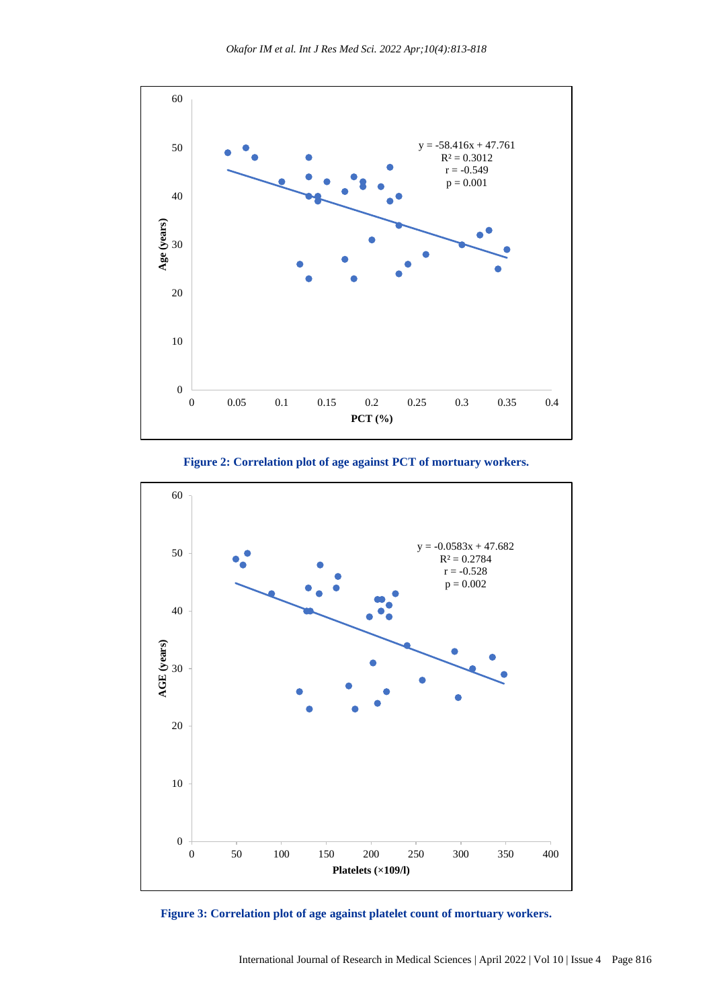

**Figure 2: Correlation plot of age against PCT of mortuary workers.**



**Figure 3: Correlation plot of age against platelet count of mortuary workers.**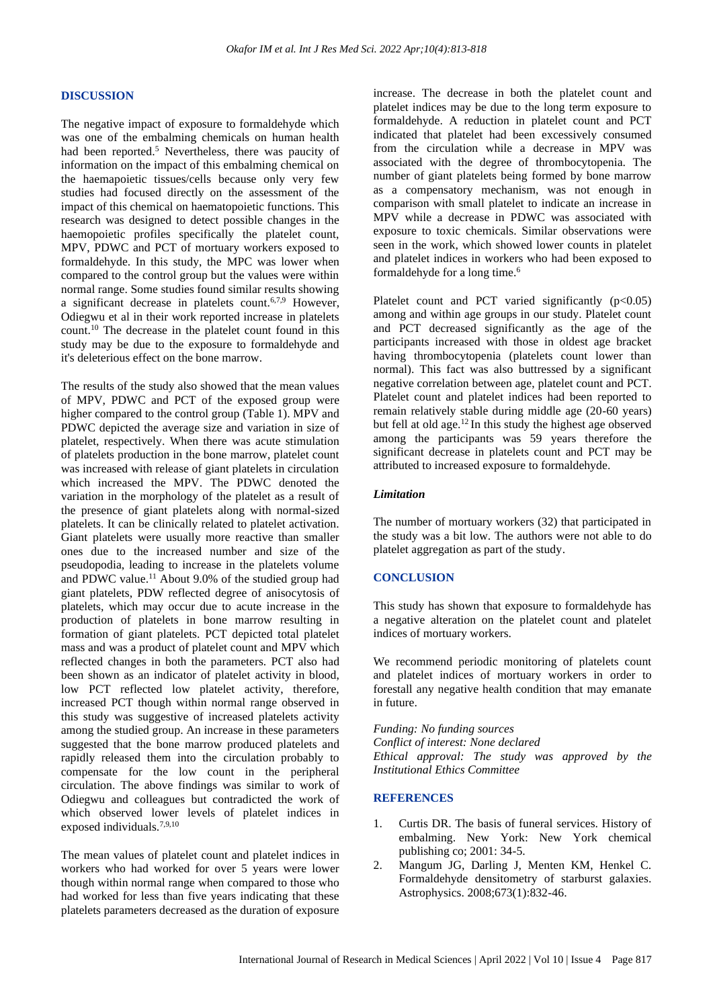#### **DISCUSSION**

The negative impact of exposure to formaldehyde which was one of the embalming chemicals on human health had been reported.<sup>5</sup> Nevertheless, there was paucity of information on the impact of this embalming chemical on the haemapoietic tissues/cells because only very few studies had focused directly on the assessment of the impact of this chemical on haematopoietic functions. This research was designed to detect possible changes in the haemopoietic profiles specifically the platelet count, MPV, PDWC and PCT of mortuary workers exposed to formaldehyde. In this study, the MPC was lower when compared to the control group but the values were within normal range. Some studies found similar results showing a significant decrease in platelets count.<sup>6,7,9</sup> However, Odiegwu et al in their work reported increase in platelets count.<sup>10</sup> The decrease in the platelet count found in this study may be due to the exposure to formaldehyde and it's deleterious effect on the bone marrow.

The results of the study also showed that the mean values of MPV, PDWC and PCT of the exposed group were higher compared to the control group (Table 1). MPV and PDWC depicted the average size and variation in size of platelet, respectively. When there was acute stimulation of platelets production in the bone marrow, platelet count was increased with release of giant platelets in circulation which increased the MPV. The PDWC denoted the variation in the morphology of the platelet as a result of the presence of giant platelets along with normal-sized platelets. It can be clinically related to platelet activation. Giant platelets were usually more reactive than smaller ones due to the increased number and size of the pseudopodia, leading to increase in the platelets volume and PDWC value.<sup>11</sup> About 9.0% of the studied group had giant platelets, PDW reflected degree of anisocytosis of platelets, which may occur due to acute increase in the production of platelets in bone marrow resulting in formation of giant platelets. PCT depicted total platelet mass and was a product of platelet count and MPV which reflected changes in both the parameters. PCT also had been shown as an indicator of platelet activity in blood, low PCT reflected low platelet activity, therefore, increased PCT though within normal range observed in this study was suggestive of increased platelets activity among the studied group. An increase in these parameters suggested that the bone marrow produced platelets and rapidly released them into the circulation probably to compensate for the low count in the peripheral circulation. The above findings was similar to work of Odiegwu and colleagues but contradicted the work of which observed lower levels of platelet indices in exposed individuals.7,9,10

The mean values of platelet count and platelet indices in workers who had worked for over 5 years were lower though within normal range when compared to those who had worked for less than five years indicating that these platelets parameters decreased as the duration of exposure increase. The decrease in both the platelet count and platelet indices may be due to the long term exposure to formaldehyde. A reduction in platelet count and PCT indicated that platelet had been excessively consumed from the circulation while a decrease in MPV was associated with the degree of thrombocytopenia. The number of giant platelets being formed by bone marrow as a compensatory mechanism, was not enough in comparison with small platelet to indicate an increase in MPV while a decrease in PDWC was associated with exposure to toxic chemicals. Similar observations were seen in the work, which showed lower counts in platelet and platelet indices in workers who had been exposed to formaldehyde for a long time.<sup>6</sup>

Platelet count and PCT varied significantly  $(p<0.05)$ among and within age groups in our study. Platelet count and PCT decreased significantly as the age of the participants increased with those in oldest age bracket having thrombocytopenia (platelets count lower than normal). This fact was also buttressed by a significant negative correlation between age, platelet count and PCT. Platelet count and platelet indices had been reported to remain relatively stable during middle age (20-60 years) but fell at old age.<sup>12</sup> In this study the highest age observed among the participants was 59 years therefore the significant decrease in platelets count and PCT may be attributed to increased exposure to formaldehyde.

# *Limitation*

The number of mortuary workers (32) that participated in the study was a bit low. The authors were not able to do platelet aggregation as part of the study.

#### **CONCLUSION**

This study has shown that exposure to formaldehyde has a negative alteration on the platelet count and platelet indices of mortuary workers.

We recommend periodic monitoring of platelets count and platelet indices of mortuary workers in order to forestall any negative health condition that may emanate in future.

*Funding: No funding sources Conflict of interest: None declared Ethical approval: The study was approved by the Institutional Ethics Committee*

# **REFERENCES**

- 1. Curtis DR. The basis of funeral services. History of embalming. New York: New York chemical publishing co; 2001: 34-5.
- 2. Mangum JG, Darling J, Menten KM, Henkel C. Formaldehyde densitometry of starburst galaxies. Astrophysics. 2008;673(1):832-46.